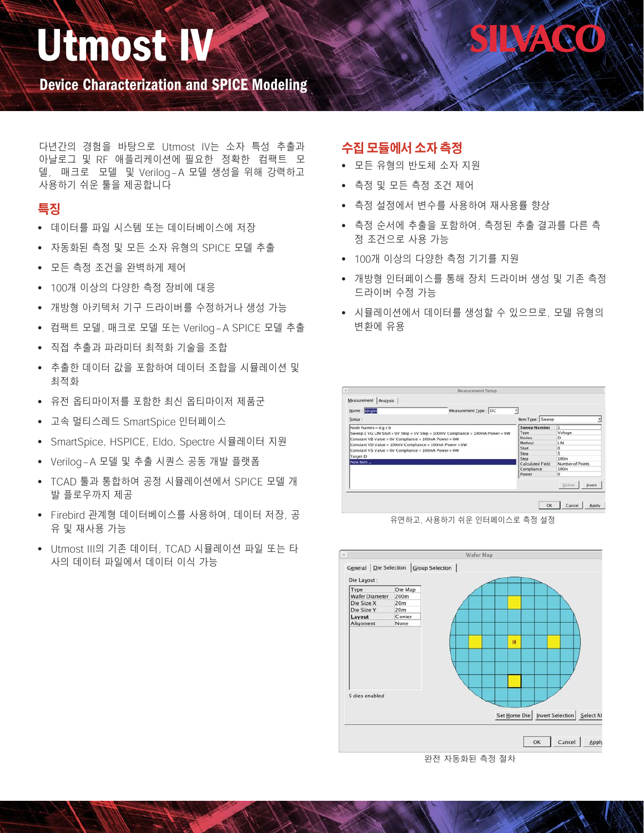# Utmost IV

Device Characterization and SPICE Modeling

다년간의 경험을 바탕으로 Utmost IV는 소자 특성 추출과 아날로그 및 RF 애플리케이션에 필요한 정확한 컴팩트 모 델, 매크로 모델 및 Verilog-A 모델 생성을 위해 강력하고 사용하기 쉬운 툴을 제공합니다

## **특징**

- 데이터를 파일 시스템 또는 데이터베이스에 저장
- 자동화된 측정 및 모든 소자 유형의 SPICE 모델 추출
- 모든 측정 조건을 완벽하게 제어
- 100개 이상의 다양한 측정 장비에 대응
- 개방형 아키텍처 기구 드라이버를 수정하거나 생성 가능
- 컴팩트 모델, 매크로 모델 또는 Verilog-A SPICE 모델 추출
- 직접 추출과 파라미터 최적화 기술을 조합
- 추출한 데이터 값을 포함하여 데이터 조합을 시뮬레이션 및 최적화
- 유전 옵티마이저를 포함한 최신 옵티마이저 제품군
- 고속 멀티스레드 SmartSpice 인터페이스
- SmartSpice, HSPICE, Eldo, Spectre 시뮬레이터 지원
- Verilog-A 모델 및 추출 시퀀스 공동 개발 플랫폼
- TCAD 툴과 통합하여 공정 시뮬레이션에서 SPICE 모델 개 발 플로우까지 제공
- Firebird 관계형 데이터베이스를 사용하여, 데이터 저장, 공 유 및 재사용 가능
- Utmost III의 기존 데이터, TCAD 시뮬레이션 파일 또는 타 사의 데이터 파일에서 데이터 이식 가능

## **수집 모듈에서 소자 측정**

- 모든 유형의 반도체 소자 지원
- 측정 및 모든 측정 조건 제어
- 측정 설정에서 변수를 사용하여 재사용률 향상
- 측정 순서에 추출을 포함하여, 측정된 추출 결과를 다른 측 정 조건으로 사용 가능

Mad

- 100개 이상의 다양한 측정 기기를 지원
- 개방형 인터페이스를 통해 장치 드라이버 생성 및 기존 측정 드라이버 수정 가능
- 시뮬레이션에서 데이터를 생성할 수 있으므로, 모델 유형의 변환에 유용







완전 자동화된 측정 절차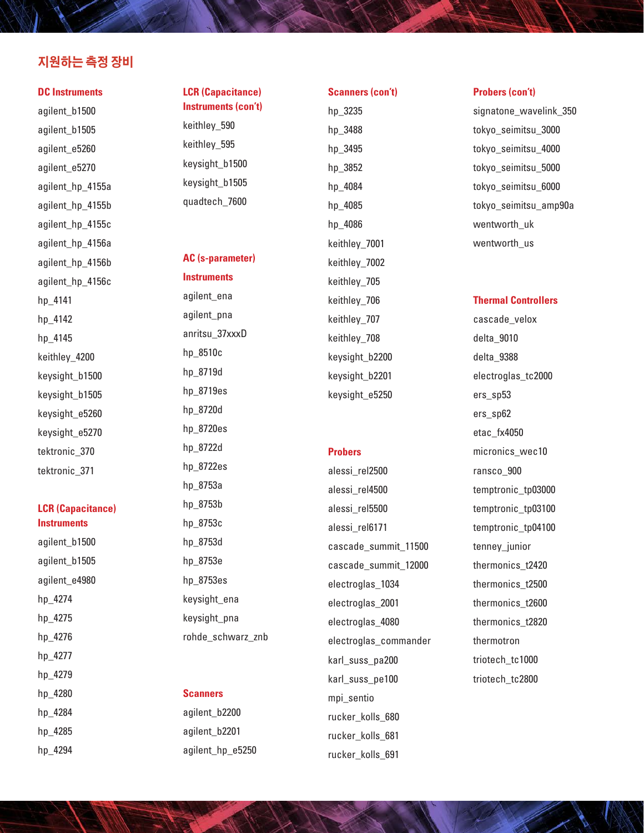### **지원하는 측정 장비**

#### **DC Instruments**

agilent\_b1500 agilent\_b1505 agilent\_e5260 agilent\_e5270 agilent\_hp\_4155a agilent\_hp\_4155b agilent\_hp\_4155c agilent\_hp\_4156a agilent\_hp\_4156b agilent\_hp\_4156c hp\_4141 hp\_4142 hp\_4145 keithley\_4200 keysight\_b1500 keysight\_b1505 keysight\_e5260 keysight\_e5270 tektronic\_370 tektronic\_371

#### **LCR (Capacitance) Instruments**

agilent\_b1500 agilent\_b1505 agilent\_e4980 hp\_4274 hp\_4275 hp\_4276 hp\_4277 hp\_4279 hp\_4280 hp\_4284 hp\_4285 hp\_4294

#### **LCR (Capacitance) Instruments (con't)**

keithley\_590 keithley\_595 keysight\_b1500 keysight\_b1505 quadtech\_7600

**AC (s-parameter)** 

**Instruments**

agilent\_ena agilent\_pna anritsu\_37xxxD hp\_8510c hp\_8719d hp\_8719es hp\_8720d hp\_8720es hp\_8722d hp\_8722es hp\_8753a hp\_8753b hp\_8753c hp\_8753d hp\_8753e hp\_8753es keysight\_ena keysight\_pna rohde\_schwarz\_znb

#### **Scanners**

agilent\_b2200 agilent\_b2201 agilent\_hp\_e5250

## hp\_3488 hp\_3495 hp\_3852 hp\_4084 hp\_4085 hp\_4086 keithley\_7001 keithley\_7002 keithley\_705 keithley\_706 keithley\_707 keithley\_708 keysight\_b2200 keysight\_b2201 keysight\_e5250

#### **Probers**

alessi\_rel2500 alessi\_rel4500 alessi\_rel5500 alessi\_rel6171 cascade\_summit\_11500 cascade\_summit\_12000 electroglas\_1034 electroglas\_2001 electroglas\_4080 electroglas\_commander karl\_suss\_pa200 karl\_suss\_pe100 mpi\_sentio rucker\_kolls\_680 rucker\_kolls\_681 rucker\_kolls\_691

#### **Probers (con't)**

signatone wavelink 350 tokyo\_seimitsu\_3000 tokyo\_seimitsu\_4000 tokyo\_seimitsu\_5000 tokyo\_seimitsu\_6000 tokyo\_seimitsu\_amp90a wentworth uk wentworth\_us

#### **Thermal Controllers**

cascade\_velox delta\_9010 delta\_9388 electroglas\_tc2000 ers\_sp53 ers\_sp62 etac\_fx4050 micronics\_wec10 ransco\_900 temptronic\_tp03000 temptronic\_tp03100 temptronic\_tp04100 tenney junior thermonics\_t2420 thermonics\_t2500 thermonics\_t2600 thermonics\_t2820 thermotron triotech\_tc1000 triotech\_tc2800

## **Scanners (con't)** hp\_3235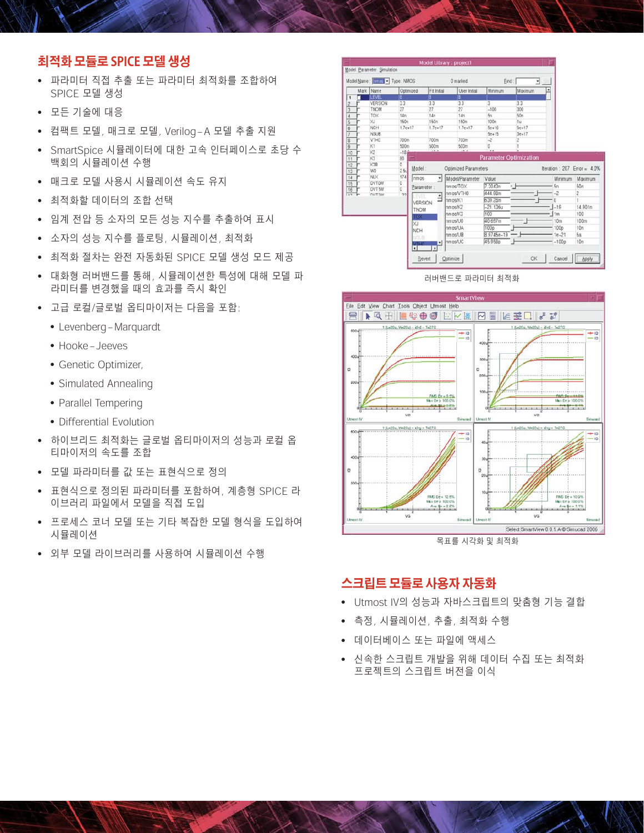## **최적화 모듈로 SPICE 모델 생성**

- 파라미터 직접 추출 또는 파라미터 최적화를 조합하여 SPICE 모델 생성
- 모든 기술에 대응
- 컴팩트 모델, 매크로 모델, Verilog-A 모델 추출 지원
- SmartSpice 시뮬레이터에 대한 고속 인터페이스로 초당 수 백회의 시뮬레이션 수행
- 매크로 모델 사용시 시뮬레이션 속도 유지
- 최적화할 데이터의 조합 선택
- 임계 전압 등 소자의 모든 성능 지수를 추출하여 표시
- 소자의 성능 지수를 플로팅, 시뮬레이션, 최적화
- 최적화 절차는 완전 자동화된 SPICE 모델 생성 모드 제공
- 대화형 러버밴드를 통해, 시뮬레이션한 특성에 대해 모델 파 라미터를 변경했을 때의 효과를 즉시 확인
- 고급 로컬/글로벌 옵티마이저는 다음을 포함:
	- Levenberg-Marquardt
	- Hooke-Jeeves
	- Genetic Optimizer,
	- Simulated Annealing
	- Parallel Tempering
	- Differential Evolution
- 하이브리드 최적화는 글로벌 옵티마이저의 성능과 로컬 옵 티마이저의 속도를 조합
- 모델 파라미터를 값 또는 표현식으로 정의
- 표현식으로 정의된 파라미터를 포함하여, 계층형 SPICE 라 이브러리 파일에서 모델을 직접 도입
- 프로세스 코너 모델 또는 기타 복잡한 모델 형식을 도입하여 시뮬레이션
- 외부 모델 라이브러리를 사용하여 시뮬레이션 수행

|                                                          |   | Model Name : nmos - Type : NMOS |           |                             | 0 marked               | Find:                         | $\frac{1}{2}$  |                              |                |
|----------------------------------------------------------|---|---------------------------------|-----------|-----------------------------|------------------------|-------------------------------|----------------|------------------------------|----------------|
|                                                          |   | Mark Name                       | Optimized | Fit Initial                 | User Initial           | Minimum                       | Maximum        | ٠                            |                |
| 1                                                        | п | <b>ILEVEL</b>                   | i8.       | 181                         | 8.                     |                               |                |                              |                |
| $\overline{c}$                                           |   | <b>VERSION</b>                  | 33        | 3.3                         | 3.3                    | 3                             | 33             |                              |                |
| 3                                                        |   | <b>TNOM</b>                     | 27        | 27                          | 27                     | $-100$                        | 300            |                              |                |
| 4                                                        |   | TOX                             | 14n       | 14n                         | 14n                    | 5n                            | 50n            |                              |                |
| 5                                                        |   | XJ                              | 150n      | <b>150n</b>                 | 150n                   | 100n                          | 1u             |                              |                |
| 6                                                        |   | NCH                             | $17e+17$  | $1.7e+17$                   | $1.7e+17$              | $5e+16$                       | $5e+17$        |                              |                |
| 7                                                        |   | <b>NSUB</b>                     |           |                             |                        | $5e + 15$                     | $3e + 17$      |                              |                |
| 8                                                        |   | VTH0                            | 700m      | 700m                        | 700m                   | $-2$                          | $\overline{c}$ |                              |                |
| $\overline{9}$                                           |   | K1                              | 500m      | 500m                        | 500m                   | ö                             |                |                              |                |
|                                                          |   |                                 |           |                             |                        |                               |                |                              |                |
|                                                          |   | K2                              | $-18.6$   | 1878                        | 28.8                   | $\overline{1}$                |                |                              |                |
|                                                          |   | K3                              | 80        |                             |                        | <b>Parameter Optimization</b> |                |                              |                |
|                                                          |   | K3B                             | ō         |                             |                        |                               |                |                              |                |
|                                                          |   | W0                              | 2.51      | Model:                      | Optimized Parameters : |                               |                | lteration : 207 Error = 4.0% |                |
|                                                          |   | <b>NLX</b>                      | 174       | $\star$<br>nmos             | Model/Parameter        | Value                         |                | Minimum                      | Maximum        |
|                                                          |   | DVT0W                           | o         |                             |                        |                               |                |                              |                |
|                                                          |   | DVT1W                           | ö         | Parameter:                  | nmos/TOX               | 7.3043n                       |                | 5n                           | 50n            |
|                                                          |   | <b>DUT 2M</b>                   | 22        | EVEL                        | nmos/VTH0              | 444 98m                       |                | $-2$                         | $\overline{2}$ |
|                                                          |   |                                 |           | $\hat{=}$<br><b>VERSION</b> | nmos/K1                | 639.28m                       |                | n                            |                |
|                                                          |   |                                 |           | <b>TNOM</b>                 | nmos/K2                | $-21.136u$                    |                | $-19$                        | 14.901n        |
|                                                          |   |                                 |           |                             | nmos/K3                | 100                           |                | 1 <sub>m</sub>               | 100            |
|                                                          |   |                                 |           | <b>TOX</b>                  | nmos/U0                | 40.697m                       |                | 10 <sub>m</sub>              | 100m           |
|                                                          |   |                                 |           | <b>XJ</b>                   | nmos/UA                | 100p                          |                | 100p                         | 10n            |
| 10<br>11<br>12<br>13<br>14<br>15<br>16<br>$\overline{1}$ |   |                                 |           | <b>NCH</b><br><b>NSLIB</b>  | RILA20mm               | 8.9745e-19                    |                | $1e-21$                      | бa             |

러버밴드로 파라미터 최적화



목표를 시각화 및 최적화

#### **스크립트 모듈로 사용자 자동화**

- Utmost IV의 성능과 자바스크립트의 맞춤형 기능 결합
- 측정, 시뮬레이션, 추출, 최적화 수행
- 데이터베이스 또는 파일에 액세스
- 신속한 스크립트 개발을 위해 데이터 수집 또는 최적화 프로젝트의 스크립트 버전을 이식